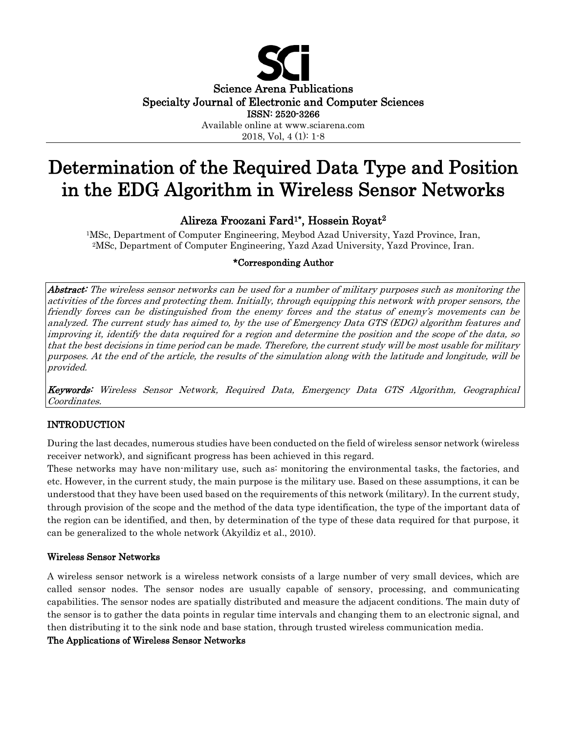

2018, Vol, 4 (1): 1-8

# Determination of the Required Data Type and Position in the EDG Algorithm in Wireless Sensor Networks

# Alireza Froozani Fard1\*, Hossein Royat2

1MSc, Department of Computer Engineering, Meybod Azad University, Yazd Province, Iran, 2MSc, Department of Computer Engineering, Yazd Azad University, Yazd Province, Iran.

#### \*Corresponding Author

Abstract: The wireless sensor networks can be used for a number of military purposes such as monitoring the activities of the forces and protecting them. Initially, through equipping this network with proper sensors, the friendly forces can be distinguished from the enemy forces and the status of enemy's movements can be analyzed. The current study has aimed to, by the use of Emergency Data GTS (EDG) algorithm features and improving it, identify the data required for a region and determine the position and the scope of the data, so that the best decisions in time period can be made. Therefore, the current study will be most usable for military purposes. At the end of the article, the results of the simulation along with the latitude and longitude, will be provided.

Keywords: Wireless Sensor Network, Required Data, Emergency Data GTS Algorithm, Geographical Coordinates.

# INTRODUCTION

During the last decades, numerous studies have been conducted on the field of wireless sensor network (wireless receiver network), and significant progress has been achieved in this regard.

These networks may have non-military use, such as: monitoring the environmental tasks, the factories, and etc. However, in the current study, the main purpose is the military use. Based on these assumptions, it can be understood that they have been used based on the requirements of this network (military). In the current study, through provision of the scope and the method of the data type identification, the type of the important data of the region can be identified, and then, by determination of the type of these data required for that purpose, it can be generalized to the whole network (Akyildiz et al., 2010).

#### Wireless Sensor Networks

A wireless sensor network is a wireless network consists of a large number of very small devices, which are called sensor nodes. The sensor nodes are usually capable of sensory, processing, and communicating capabilities. The sensor nodes are spatially distributed and measure the adjacent conditions. The main duty of the sensor is to gather the data points in regular time intervals and changing them to an electronic signal, and then distributing it to the sink node and base station, through trusted wireless communication media.

#### The Applications of Wireless Sensor Networks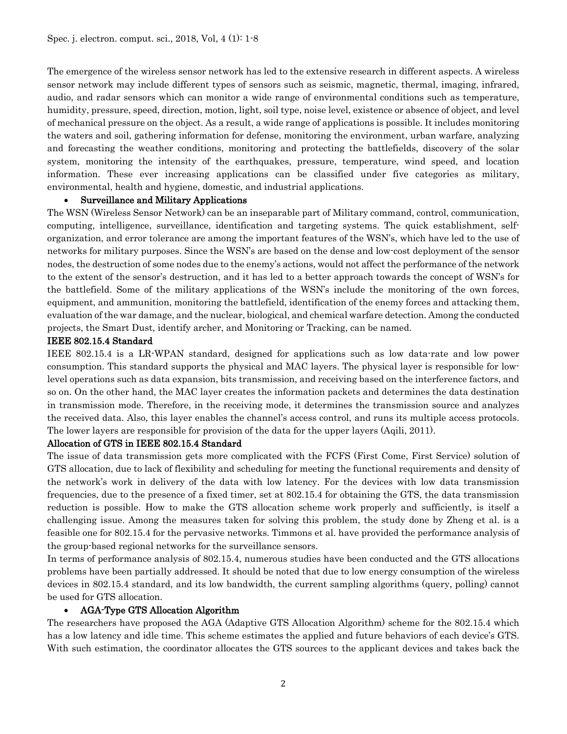The emergence of the wireless sensor network has led to the extensive research in different aspects. A wireless sensor network may include different types of sensors such as seismic, magnetic, thermal, imaging, infrared, audio, and radar sensors which can monitor a wide range of environmental conditions such as temperature, humidity, pressure, speed, direction, motion, light, soil type, noise level, existence or absence of object, and level of mechanical pressure on the object. As a result, a wide range of applications is possible. It includes monitoring the waters and soil, gathering information for defense, monitoring the environment, urban warfare, analyzing and forecasting the weather conditions, monitoring and protecting the battlefields, discovery of the solar system, monitoring the intensity of the earthquakes, pressure, temperature, wind speed, and location information. These ever increasing applications can be classified under five categories as military, environmental, health and hygiene, domestic, and industrial applications.

#### • Surveillance and Military Applications

The WSN (Wireless Sensor Network) can be an inseparable part of Military command, control, communication, computing, intelligence, surveillance, identification and targeting systems. The quick establishment, selforganization, and error tolerance are among the important features of the WSN's, which have led to the use of networks for military purposes. Since the WSN's are based on the dense and low-cost deployment of the sensor nodes, the destruction of some nodes due to the enemy's actions, would not affect the performance of the network to the extent of the sensor's destruction, and it has led to a better approach towards the concept of WSN's for the battlefield. Some of the military applications of the WSN's include the monitoring of the own forces, equipment, and ammunition, monitoring the battlefield, identification of the enemy forces and attacking them, evaluation of the war damage, and the nuclear, biological, and chemical warfare detection. Among the conducted projects, the Smart Dust, identify archer, and Monitoring or Tracking, can be named.

#### IEEE 802.15.4 Standard

IEEE 802.15.4 is a LR-WPAN standard, designed for applications such as low data-rate and low power consumption. This standard supports the physical and MAC layers. The physical layer is responsible for lowlevel operations such as data expansion, bits transmission, and receiving based on the interference factors, and so on. On the other hand, the MAC layer creates the information packets and determines the data destination in transmission mode. Therefore, in the receiving mode, it determines the transmission source and analyzes the received data. Also, this layer enables the channel's access control, and runs its multiple access protocols. The lower layers are responsible for provision of the data for the upper layers (Aqili, 2011).

#### Allocation of GTS in IEEE 802.15.4 Standard

The issue of data transmission gets more complicated with the FCFS (First Come, First Service) solution of GTS allocation, due to lack of flexibility and scheduling for meeting the functional requirements and density of the network's work in delivery of the data with low latency. For the devices with low data transmission frequencies, due to the presence of a fixed timer, set at 802.15.4 for obtaining the GTS, the data transmission reduction is possible. How to make the GTS allocation scheme work properly and sufficiently, is itself a challenging issue. Among the measures taken for solving this problem, the study done by Zheng et al. is a feasible one for 802.15.4 for the pervasive networks. Timmons et al. have provided the performance analysis of the group-based regional networks for the surveillance sensors.

In terms of performance analysis of 802.15.4, numerous studies have been conducted and the GTS allocations problems have been partially addressed. It should be noted that due to low energy consumption of the wireless devices in 802.15.4 standard, and its low bandwidth, the current sampling algorithms (query, polling) cannot be used for GTS allocation.

#### • AGA-Type GTS Allocation Algorithm

The researchers have proposed the AGA (Adaptive GTS Allocation Algorithm) scheme for the 802.15.4 which has a low latency and idle time. This scheme estimates the applied and future behaviors of each device's GTS. With such estimation, the coordinator allocates the GTS sources to the applicant devices and takes back the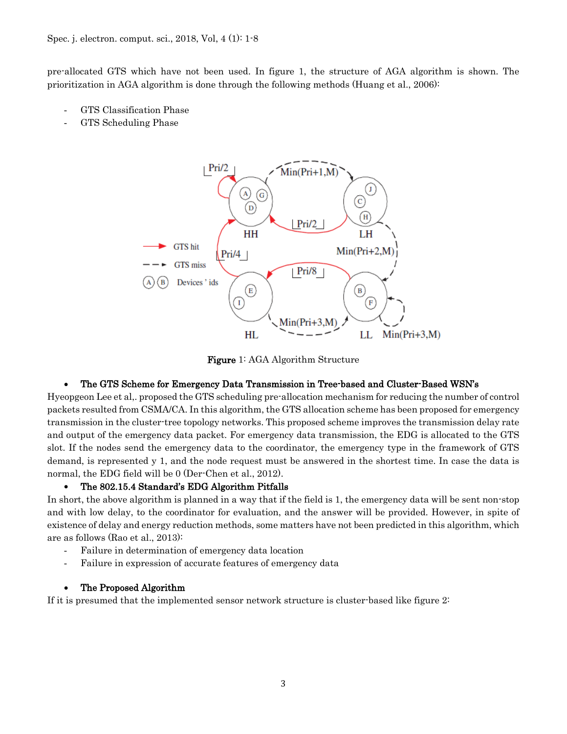pre-allocated GTS which have not been used. In figure 1, the structure of AGA algorithm is shown. The prioritization in AGA algorithm is done through the following methods (Huang et al., 2006):

- GTS Classification Phase
- GTS Scheduling Phase



Figure 1: AGA Algorithm Structure

# • The GTS Scheme for Emergency Data Transmission in Tree-based and Cluster-Based WSN's

Hyeopgeon Lee et al,. proposed the GTS scheduling pre-allocation mechanism for reducing the number of control packets resulted from CSMA/CA. In this algorithm, the GTS allocation scheme has been proposed for emergency transmission in the cluster-tree topology networks. This proposed scheme improves the transmission delay rate and output of the emergency data packet. For emergency data transmission, the EDG is allocated to the GTS slot. If the nodes send the emergency data to the coordinator, the emergency type in the framework of GTS demand, is represented y 1, and the node request must be answered in the shortest time. In case the data is normal, the EDG field will be 0 (Der-Chen et al., 2012).

#### • The 802.15.4 Standard's EDG Algorithm Pitfalls

In short, the above algorithm is planned in a way that if the field is 1, the emergency data will be sent non-stop and with low delay, to the coordinator for evaluation, and the answer will be provided. However, in spite of existence of delay and energy reduction methods, some matters have not been predicted in this algorithm, which are as follows (Rao et al., 2013):

- Failure in determination of emergency data location
- Failure in expression of accurate features of emergency data

# • The Proposed Algorithm

If it is presumed that the implemented sensor network structure is cluster-based like figure 2: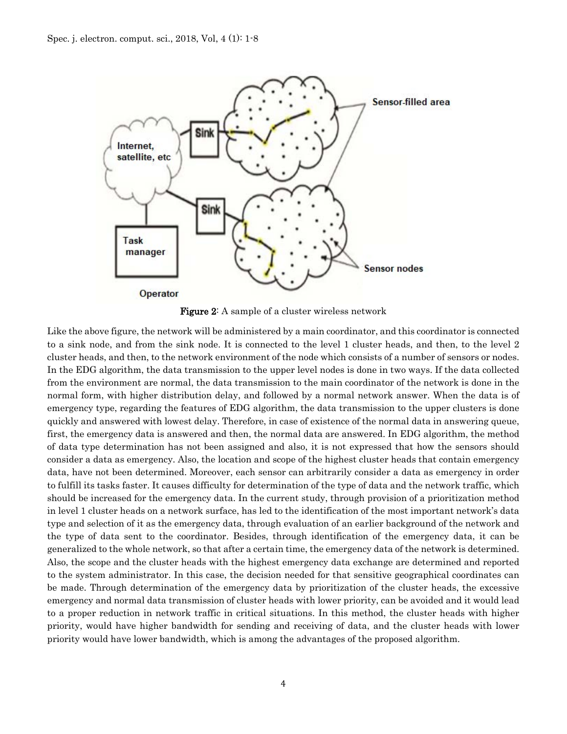

Figure 2: A sample of a cluster wireless network

Like the above figure, the network will be administered by a main coordinator, and this coordinator is connected to a sink node, and from the sink node. It is connected to the level 1 cluster heads, and then, to the level 2 cluster heads, and then, to the network environment of the node which consists of a number of sensors or nodes. In the EDG algorithm, the data transmission to the upper level nodes is done in two ways. If the data collected from the environment are normal, the data transmission to the main coordinator of the network is done in the normal form, with higher distribution delay, and followed by a normal network answer. When the data is of emergency type, regarding the features of EDG algorithm, the data transmission to the upper clusters is done quickly and answered with lowest delay. Therefore, in case of existence of the normal data in answering queue, first, the emergency data is answered and then, the normal data are answered. In EDG algorithm, the method of data type determination has not been assigned and also, it is not expressed that how the sensors should consider a data as emergency. Also, the location and scope of the highest cluster heads that contain emergency data, have not been determined. Moreover, each sensor can arbitrarily consider a data as emergency in order to fulfill its tasks faster. It causes difficulty for determination of the type of data and the network traffic, which should be increased for the emergency data. In the current study, through provision of a prioritization method in level 1 cluster heads on a network surface, has led to the identification of the most important network's data type and selection of it as the emergency data, through evaluation of an earlier background of the network and the type of data sent to the coordinator. Besides, through identification of the emergency data, it can be generalized to the whole network, so that after a certain time, the emergency data of the network is determined. Also, the scope and the cluster heads with the highest emergency data exchange are determined and reported to the system administrator. In this case, the decision needed for that sensitive geographical coordinates can be made. Through determination of the emergency data by prioritization of the cluster heads, the excessive emergency and normal data transmission of cluster heads with lower priority, can be avoided and it would lead to a proper reduction in network traffic in critical situations. In this method, the cluster heads with higher priority, would have higher bandwidth for sending and receiving of data, and the cluster heads with lower priority would have lower bandwidth, which is among the advantages of the proposed algorithm.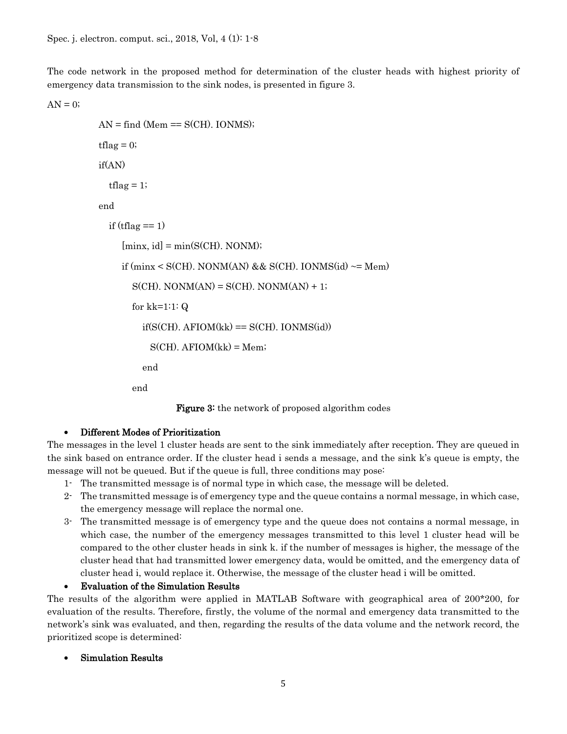The code network in the proposed method for determination of the cluster heads with highest priority of emergency data transmission to the sink nodes, is presented in figure 3.

 $AN = 0$ ;

```
AN = find (Mem == S(CH). IONMS);
tflag = 0; if(AN)
  tflag = 1; end
  if (tflag == 1)
     [minx, id] = min(S(CH). NONM);if (minx \leq S(CH). NONM(AN) && S(CH). IONMS(id) \sim MemS(CH). NONM(AN) = S(CH). NONM(AN) + 1;
        for kk=1:1: Q
         if(S(CH), AFIOM(kk) == S(CH), IONMS(id))S(CH). AFIOM(kk) = Mem; end
        end
```
**Figure 3:** the network of proposed algorithm codes

#### • Different Modes of Prioritization

The messages in the level 1 cluster heads are sent to the sink immediately after reception. They are queued in the sink based on entrance order. If the cluster head i sends a message, and the sink k's queue is empty, the message will not be queued. But if the queue is full, three conditions may pose:

- 1- The transmitted message is of normal type in which case, the message will be deleted.
- 2- The transmitted message is of emergency type and the queue contains a normal message, in which case, the emergency message will replace the normal one.
- 3- The transmitted message is of emergency type and the queue does not contains a normal message, in which case, the number of the emergency messages transmitted to this level 1 cluster head will be compared to the other cluster heads in sink k. if the number of messages is higher, the message of the cluster head that had transmitted lower emergency data, would be omitted, and the emergency data of cluster head i, would replace it. Otherwise, the message of the cluster head i will be omitted.

• Evaluation of the Simulation Results

The results of the algorithm were applied in MATLAB Software with geographical area of 200\*200, for evaluation of the results. Therefore, firstly, the volume of the normal and emergency data transmitted to the network's sink was evaluated, and then, regarding the results of the data volume and the network record, the prioritized scope is determined:

• Simulation Results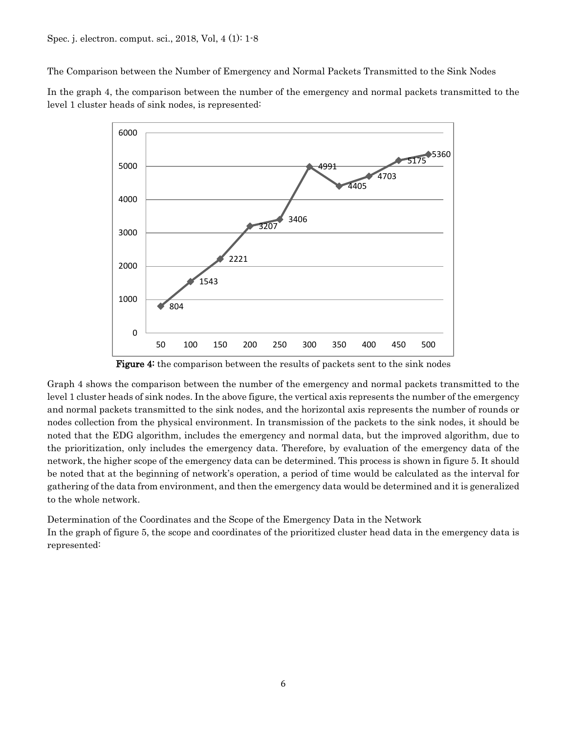The Comparison between the Number of Emergency and Normal Packets Transmitted to the Sink Nodes

In the graph 4, the comparison between the number of the emergency and normal packets transmitted to the level 1 cluster heads of sink nodes, is represented:



Figure 4: the comparison between the results of packets sent to the sink nodes

Graph 4 shows the comparison between the number of the emergency and normal packets transmitted to the level 1 cluster heads of sink nodes. In the above figure, the vertical axis represents the number of the emergency and normal packets transmitted to the sink nodes, and the horizontal axis represents the number of rounds or nodes collection from the physical environment. In transmission of the packets to the sink nodes, it should be noted that the EDG algorithm, includes the emergency and normal data, but the improved algorithm, due to the prioritization, only includes the emergency data. Therefore, by evaluation of the emergency data of the network, the higher scope of the emergency data can be determined. This process is shown in figure 5. It should be noted that at the beginning of network's operation, a period of time would be calculated as the interval for gathering of the data from environment, and then the emergency data would be determined and it is generalized to the whole network.

Determination of the Coordinates and the Scope of the Emergency Data in the Network In the graph of figure 5, the scope and coordinates of the prioritized cluster head data in the emergency data is represented: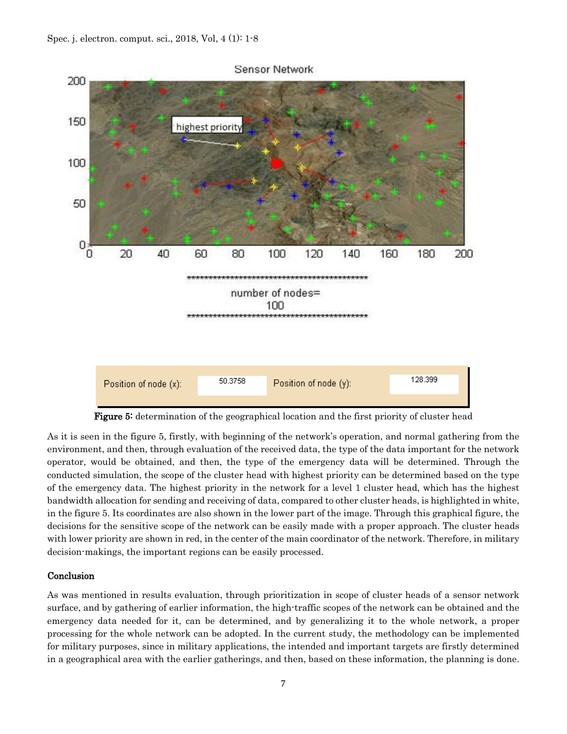

Figure 5: determination of the geographical location and the first priority of cluster head

As it is seen in the figure 5, firstly, with beginning of the network's operation, and normal gathering from the environment, and then, through evaluation of the received data, the type of the data important for the network operator, would be obtained, and then, the type of the emergency data will be determined. Through the conducted simulation, the scope of the cluster head with highest priority can be determined based on the type of the emergency data. The highest priority in the network for a level 1 cluster head, which has the highest bandwidth allocation for sending and receiving of data, compared to other cluster heads, is highlighted in white, in the figure 5. Its coordinates are also shown in the lower part of the image. Through this graphical figure, the decisions for the sensitive scope of the network can be easily made with a proper approach. The cluster heads with lower priority are shown in red, in the center of the main coordinator of the network. Therefore, in military decision-makings, the important regions can be easily processed.

#### Conclusion

As was mentioned in results evaluation, through prioritization in scope of cluster heads of a sensor network surface, and by gathering of earlier information, the high-traffic scopes of the network can be obtained and the emergency data needed for it, can be determined, and by generalizing it to the whole network, a proper processing for the whole network can be adopted. In the current study, the methodology can be implemented for military purposes, since in military applications, the intended and important targets are firstly determined in a geographical area with the earlier gatherings, and then, based on these information, the planning is done.